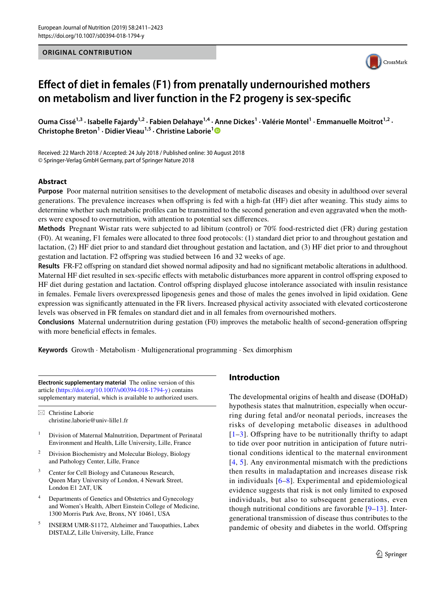# **ORIGINAL CONTRIBUTION**



# **Effect of diet in females (F1) from prenatally undernourished mothers on metabolism and liver function in the F2 progeny is sex-specific**

Ouma Cissé<sup>1,3</sup> · Isabelle Fajardy<sup>1,2</sup> · Fabien Delahaye<sup>1,4</sup> · Anne Dickes<sup>1</sup> · Valérie Montel<sup>1</sup> · Emmanuelle Moitrot<sup>1,2</sup> · **Christophe Breton<sup>1</sup> · Didier Vieau1,5 · Christine Laborie[1](http://orcid.org/0000-0001-8629-8925)**

Received: 22 March 2018 / Accepted: 24 July 2018 / Published online: 30 August 2018 © Springer-Verlag GmbH Germany, part of Springer Nature 2018

# **Abstract**

**Purpose** Poor maternal nutrition sensitises to the development of metabolic diseases and obesity in adulthood over several generations. The prevalence increases when offspring is fed with a high-fat (HF) diet after weaning. This study aims to determine whether such metabolic profiles can be transmitted to the second generation and even aggravated when the mothers were exposed to overnutrition, with attention to potential sex differences.

**Methods** Pregnant Wistar rats were subjected to ad libitum (control) or 70% food-restricted diet (FR) during gestation (F0). At weaning, F1 females were allocated to three food protocols: (1) standard diet prior to and throughout gestation and lactation, (2) HF diet prior to and standard diet throughout gestation and lactation, and (3) HF diet prior to and throughout gestation and lactation. F2 offspring was studied between 16 and 32 weeks of age.

**Results** FR-F2 offspring on standard diet showed normal adiposity and had no significant metabolic alterations in adulthood. Maternal HF diet resulted in sex-specific effects with metabolic disturbances more apparent in control offspring exposed to HF diet during gestation and lactation. Control offspring displayed glucose intolerance associated with insulin resistance in females. Female livers overexpressed lipogenesis genes and those of males the genes involved in lipid oxidation. Gene expression was significantly attenuated in the FR livers. Increased physical activity associated with elevated corticosterone levels was observed in FR females on standard diet and in all females from overnourished mothers.

**Conclusions** Maternal undernutrition during gestation (F0) improves the metabolic health of second-generation offspring with more beneficial effects in females.

**Keywords** Growth · Metabolism · Multigenerational programming · Sex dimorphism

**Electronic supplementary material** The online version of this article [\(https://doi.org/10.1007/s00394-018-1794-y\)](https://doi.org/10.1007/s00394-018-1794-y) contains supplementary material, which is available to authorized users.

 $\boxtimes$  Christine Laborie christine.laborie@univ-lille1.fr

- <sup>1</sup> Division of Maternal Malnutrition, Department of Perinatal Environment and Health, Lille University, Lille, France
- <sup>2</sup> Division Biochemistry and Molecular Biology, Biology and Pathology Center, Lille, France
- <sup>3</sup> Center for Cell Biology and Cutaneous Research, Queen Mary University of London, 4 Newark Street, London E1 2AT, UK
- <sup>4</sup> Departments of Genetics and Obstetrics and Gynecology and Women's Health, Albert Einstein College of Medicine, 1300 Morris Park Ave, Bronx, NY 10461, USA
- <sup>5</sup> INSERM UMR-S1172, Alzheimer and Tauopathies, Labex DISTALZ, Lille University, Lille, France

# **Introduction**

The developmental origins of health and disease (DOHaD) hypothesis states that malnutrition, especially when occurring during fetal and/or neonatal periods, increases the risks of developing metabolic diseases in adulthood  $[1-3]$  $[1-3]$  $[1-3]$ . Offspring have to be nutritionally thrifty to adapt to tide over poor nutrition in anticipation of future nutritional conditions identical to the maternal environment [[4,](#page-11-2) [5\]](#page-11-3). Any environmental mismatch with the predictions then results in maladaptation and increases disease risk in individuals [[6](#page-11-4)[–8\]](#page-11-5). Experimental and epidemiological evidence suggests that risk is not only limited to exposed individuals, but also to subsequent generations, even though nutritional conditions are favorable  $[9-13]$  $[9-13]$  $[9-13]$ . Intergenerational transmission of disease thus contributes to the pandemic of obesity and diabetes in the world. Offspring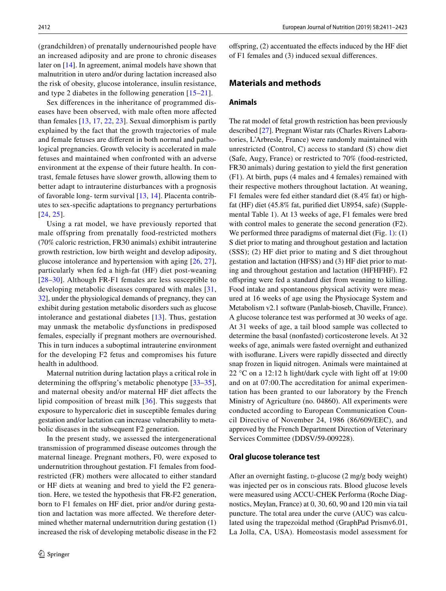(grandchildren) of prenatally undernourished people have an increased adiposity and are prone to chronic diseases later on [\[14](#page-11-8)]. In agreement, animal models have shown that malnutrition in utero and/or during lactation increased also the risk of obesity, glucose intolerance, insulin resistance, and type 2 diabetes in the following generation [\[15–](#page-11-9)[21](#page-11-10)].

Sex differences in the inheritance of programmed diseases have been observed, with male often more affected than females [[13,](#page-11-7) [17](#page-11-11), [22,](#page-11-12) [23\]](#page-11-13). Sexual dimorphism is partly explained by the fact that the growth trajectories of male and female fetuses are different in both normal and pathological pregnancies. Growth velocity is accelerated in male fetuses and maintained when confronted with an adverse environment at the expense of their future health. In contrast, female fetuses have slower growth, allowing them to better adapt to intrauterine disturbances with a prognosis of favorable long- term survival [[13,](#page-11-7) [14](#page-11-8)]. Placenta contributes to sex-specific adaptations to pregnancy perturbations [[24,](#page-11-14) [25\]](#page-11-15).

Using a rat model, we have previously reported that male offspring from prenatally food-restricted mothers (70% caloric restriction, FR30 animals) exhibit intrauterine growth restriction, low birth weight and develop adiposity, glucose intolerance and hypertension with aging [\[26,](#page-11-16) [27](#page-12-0)], particularly when fed a high-fat (HF) diet post-weaning [[28–](#page-12-1)[30](#page-12-2)]. Although FR-F1 females are less susceptible to developing metabolic diseases compared with males [\[31,](#page-12-3) [32\]](#page-12-4), under the physiological demands of pregnancy, they can exhibit during gestation metabolic disorders such as glucose intolerance and gestational diabetes [\[13\]](#page-11-7). Thus, gestation may unmask the metabolic dysfunctions in predisposed females, especially if pregnant mothers are overnourished. This in turn induces a suboptimal intrauterine environment for the developing F2 fetus and compromises his future health in adulthood.

Maternal nutrition during lactation plays a critical role in determining the offspring's metabolic phenotype [[33–](#page-12-5)[35](#page-12-6)], and maternal obesity and/or maternal HF diet affects the lipid composition of breast milk [[36](#page-12-7)]. This suggests that exposure to hypercaloric diet in susceptible females during gestation and/or lactation can increase vulnerability to metabolic diseases in the subsequent F2 generation.

In the present study, we assessed the intergenerational transmission of programmed disease outcomes through the maternal lineage. Pregnant mothers, F0, were exposed to undernutrition throughout gestation. F1 females from foodrestricted (FR) mothers were allocated to either standard or HF diets at weaning and bred to yield the F2 generation. Here, we tested the hypothesis that FR-F2 generation, born to F1 females on HF diet, prior and/or during gestation and lactation was more affected. We therefore determined whether maternal undernutrition during gestation (1) increased the risk of developing metabolic disease in the F2 offspring, (2) accentuated the effects induced by the HF diet of F1 females and (3) induced sexual differences.

# **Materials and methods**

# **Animals**

The rat model of fetal growth restriction has been previously described [[27\]](#page-12-0). Pregnant Wistar rats (Charles Rivers Laboratories, L'Arbresle, France) were randomly maintained with unrestricted (Control, C) access to standard (S) chow diet (Safe, Augy, France) or restricted to 70% (food-restricted, FR30 animals) during gestation to yield the first generation (F1). At birth, pups (4 males and 4 females) remained with their respective mothers throughout lactation. At weaning, F1 females were fed either standard diet (8.4% fat) or highfat (HF) diet (45.8% fat, purified diet U8954, safe) (Supplemental Table 1). At 13 weeks of age, F1 females were bred with control males to generate the second generation  $(F2)$ . We performed three paradigms of maternal diet (Fig. [1](#page-2-0)): (1) S diet prior to mating and throughout gestation and lactation (SSS); (2) HF diet prior to mating and S diet throughout gestation and lactation (HFSS) and (3) HF diet prior to mating and throughout gestation and lactation (HFHFHF). F2 offspring were fed a standard diet from weaning to killing. Food intake and spontaneous physical activity were measured at 16 weeks of age using the Physiocage System and Metabolism v2.1 software (Panlab-bioseb, Chaville, France). A glucose tolerance test was performed at 30 weeks of age. At 31 weeks of age, a tail blood sample was collected to determine the basal (nonfasted) corticosterone levels. At 32 weeks of age, animals were fasted overnight and euthanized with isoflurane. Livers were rapidly dissected and directly snap frozen in liquid nitrogen. Animals were maintained at 22 °C on a 12:12 h light/dark cycle with light off at 19:00 and on at 07:00.The accreditation for animal experimentation has been granted to our laboratory by the French Ministry of Agriculture (no. 04860). All experiments were conducted according to European Communication Council Directive of November 24, 1986 (86/609/EEC), and approved by the French Department Direction of Veterinary Services Committee (DDSV/59-009228).

#### **Oral glucose tolerance test**

After an overnight fasting,  $p$ -glucose (2 mg/g body weight) was injected per os in conscious rats. Blood glucose levels were measured using ACCU-CHEK Performa (Roche Diagnostics, Meylan, France) at 0, 30, 60, 90 and 120 min via tail puncture. The total area under the curve (AUC) was calculated using the trapezoidal method (GraphPad Prismv6.01, La Jolla, CA, USA). Homeostasis model assessment for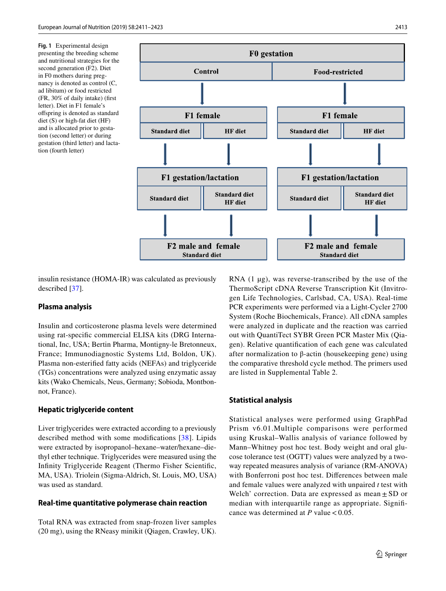<span id="page-2-0"></span>**Fig. 1** Experimental design presenting the breeding scheme and nutritional strategies for the second generation (F2). Diet in F0 mothers during pregnancy is denoted as control (C, ad libitum) or food restricted (FR, 30% of daily intake) (first letter). Diet in F1 female's offspring is denoted as standard diet (S) or high-fat diet (HF) and is allocated prior to gestation (second letter) or during gestation (third letter) and lactation (fourth letter)



insulin resistance (HOMA-IR) was calculated as previously described [[37\]](#page-12-8).

### **Plasma analysis**

Insulin and corticosterone plasma levels were determined using rat-specific commercial ELISA kits (DRG International, Inc, USA; Bertin Pharma, Montigny-le Bretonneux, France; Immunodiagnostic Systems Ltd, Boldon, UK). Plasma non-esterified fatty acids (NEFAs) and triglyceride (TGs) concentrations were analyzed using enzymatic assay kits (Wako Chemicals, Neus, Germany; Sobioda, Montbonnot, France).

### **Hepatic triglyceride content**

Liver triglycerides were extracted according to a previously described method with some modifications [[38\]](#page-12-9). Lipids were extracted by isopropanol–hexane–water/hexane–diethyl ether technique. Triglycerides were measured using the Infinity Triglyceride Reagent (Thermo Fisher Scientific, MA, USA). Triolein (Sigma-Aldrich, St. Louis, MO, USA) was used as standard.

#### **Real‑time quantitative polymerase chain reaction**

Total RNA was extracted from snap-frozen liver samples (20 mg), using the RNeasy minikit (Qiagen, Crawley, UK).

RNA (1 µg), was reverse-transcribed by the use of the ThermoScript cDNA Reverse Transcription Kit (Invitrogen Life Technologies, Carlsbad, CA, USA). Real-time PCR experiments were performed via a Light-Cycler 2700 System (Roche Biochemicals, France). All cDNA samples were analyzed in duplicate and the reaction was carried out with QuantiTect SYBR Green PCR Master Mix (Qiagen). Relative quantification of each gene was calculated after normalization to β-actin (housekeeping gene) using the comparative threshold cycle method. The primers used are listed in Supplemental Table 2.

### **Statistical analysis**

Statistical analyses were performed using GraphPad Prism v6.01.Multiple comparisons were performed using Kruskal–Wallis analysis of variance followed by Mann–Whitney post hoc test. Body weight and oral glucose tolerance test (OGTT) values were analyzed by a twoway repeated measures analysis of variance (RM-ANOVA) with Bonferroni post hoc test. Differences between male and female values were analyzed with unpaired *t* test with Welch' correction. Data are expressed as mean  $\pm$  SD or median with interquartile range as appropriate. Significance was determined at  $P$  value < 0.05.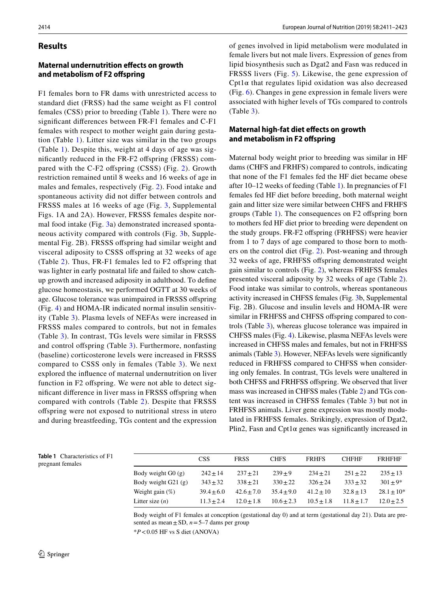### **Results**

# **Maternal undernutrition effects on growth and metabolism of F2 offspring**

F1 females born to FR dams with unrestricted access to standard diet (FRSS) had the same weight as F1 control females (CSS) prior to breeding (Table [1\)](#page-3-0). There were no significant differences between FR-F1 females and C-F1 females with respect to mother weight gain during gestation (Table [1](#page-3-0)). Litter size was similar in the two groups (Table [1\)](#page-3-0). Despite this, weight at 4 days of age was significantly reduced in the FR-F2 offspring (FRSSS) compared with the C-F2 offspring (CSSS) (Fig. [2\)](#page-4-0). Growth restriction remained until 8 weeks and 16 weeks of age in males and females, respectively (Fig. [2](#page-4-0)). Food intake and spontaneous activity did not differ between controls and FRSSS males at 16 weeks of age (Fig. [3](#page-5-0), Supplemental Figs. 1A and 2A). However, FRSSS females despite normal food intake (Fig. [3a](#page-5-0)) demonstrated increased spontaneous activity compared with controls (Fig. [3b](#page-5-0), Supplemental Fig. 2B). FRSSS offspring had similar weight and visceral adiposity to CSSS offspring at 32 weeks of age (Table [2\)](#page-5-1). Thus, FR-F1 females led to F2 offspring that was lighter in early postnatal life and failed to show catchup growth and increased adiposity in adulthood. To define glucose homeostasis, we performed OGTT at 30 weeks of age. Glucose tolerance was unimpaired in FRSSS offspring (Fig. [4\)](#page-6-0) and HOMA-IR indicated normal insulin sensitivity (Table [3](#page-7-0)). Plasma levels of NEFAs were increased in FRSSS males compared to controls, but not in females (Table [3](#page-7-0)). In contrast, TGs levels were similar in FRSSS and control offspring (Table [3\)](#page-7-0). Furthermore, nonfasting (baseline) corticosterone levels were increased in FRSSS compared to CSSS only in females (Table [3\)](#page-7-0). We next explored the influence of maternal undernutrition on liver function in F2 offspring. We were not able to detect significant difference in liver mass in FRSSS offspring when compared with controls (Table [2](#page-5-1)). Despite that FRSSS offspring were not exposed to nutritional stress in utero and during breastfeeding, TGs content and the expression of genes involved in lipid metabolism were modulated in female livers but not male livers. Expression of genes from lipid biosynthesis such as Dgat2 and Fasn was reduced in FRSSS livers (Fig. [5\)](#page-8-0). Likewise, the gene expression of Cpt1 $\alpha$  that regulates lipid oxidation was also decreased (Fig. [6\)](#page-9-0). Changes in gene expression in female livers were associated with higher levels of TGs compared to controls (Table [3\)](#page-7-0).

# **Maternal high‑fat diet effects on growth and metabolism in F2 offspring**

Maternal body weight prior to breeding was similar in HF dams (CHFS and FRHFS) compared to controls, indicating that none of the F1 females fed the HF diet became obese after 10–12 weeks of feeding (Table [1](#page-3-0)). In pregnancies of F1 females fed HF diet before breeding, both maternal weight gain and litter size were similar between CHFS and FRHFS groups (Table [1](#page-3-0)). The consequences on F2 offspring born to mothers fed HF diet prior to breeding were dependent on the study groups. FR-F2 offspring (FRHFSS) were heavier from 1 to 7 days of age compared to those born to mothers on the control diet (Fig. [2\)](#page-4-0). Post-weaning and through 32 weeks of age, FRHFSS offspring demonstrated weight gain similar to controls (Fig. [2\)](#page-4-0), whereas FRHFSS females presented visceral adiposity by 32 weeks of age (Table [2](#page-5-1)). Food intake was similar to controls, whereas spontaneous activity increased in CHFSS females (Fig. [3b](#page-5-0), Supplemental Fig. 2B). Glucose and insulin levels and HOMA-IR were similar in FRHFSS and CHFSS offspring compared to controls (Table [3\)](#page-7-0), whereas glucose tolerance was impaired in CHFSS males (Fig. [4\)](#page-6-0). Likewise, plasma NEFAs levels were increased in CHFSS males and females, but not in FRHFSS animals (Table [3](#page-7-0)). However, NEFAs levels were significantly reduced in FRHFSS compared to CHFSS when considering only females. In contrast, TGs levels were unaltered in both CHFSS and FRHFSS offspring. We observed that liver mass was increased in CHFSS males (Table [2](#page-5-1)) and TGs content was increased in CHFSS females (Table [3](#page-7-0)) but not in FRHFSS animals. Liver gene expression was mostly modulated in FRHFSS females. Strikingly, expression of Dgat2, Plin2, Fasn and Cpt1 $\alpha$  genes was significantly increased in

<span id="page-3-0"></span>**Table 1** Characteristics of F1 pregnant females

|                      | <b>CSS</b>   | <b>FRSS</b>  | <b>CHFS</b>  | <b>FRHFS</b> | <b>CHFHF</b> | <b>FRHFHF</b>   |
|----------------------|--------------|--------------|--------------|--------------|--------------|-----------------|
| Body weight $G_0(g)$ | $242 + 14$   | $237 + 21$   | $239 + 9$    | $234 + 21$   | $251 + 22$   | $235 \pm 13$    |
| Body weight $G21(g)$ | $343 + 32$   | $338 + 21$   | $330 + 22$   | $326 + 24$   | $333 + 32$   | $301 + 9*$      |
| Weight gain $(\%)$   | $39.4 + 6.0$ | $42.6 + 7.0$ | $35.4 + 9.0$ | $41.2 + 10$  | $32.8 + 13$  | $28.1 \pm 10^*$ |
| Litter size $(n)$    | $11.3 + 2.4$ | $12.0 + 1.8$ | $10.6 + 2.3$ | $10.5 + 1.8$ | $11.8 + 1.7$ | $12.0 + 2.5$    |

Body weight of F1 females at conception (gestational day 0) and at term (gestational day 21). Data are presented as mean $\pm$ SD,  $n = 5-7$  dams per group \**P*<0.05 HF vs S diet (ANOVA)

 $\circled{2}$  Springer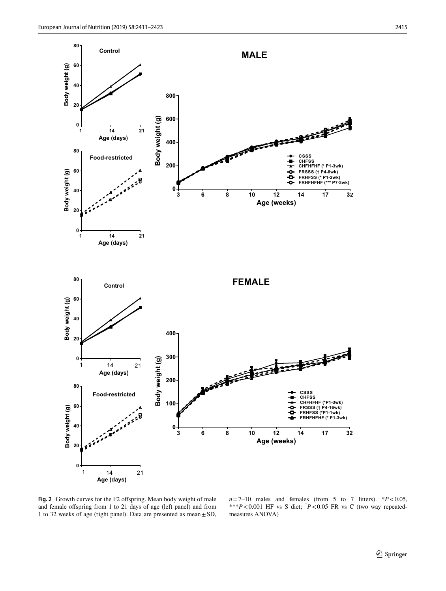

<span id="page-4-0"></span>**Fig. 2** Growth curves for the F2 offspring. Mean body weight of male and female offspring from 1 to 21 days of age (left panel) and from 1 to 32 weeks of age (right panel). Data are presented as mean±SD,

 $n=7-10$  males and females (from 5 to 7 litters).  $*P<0.05$ , \*\*\**P*<0.001 HF vs S diet; † *P*<0.05 FR vs C (two way repeatedmeasures ANOVA)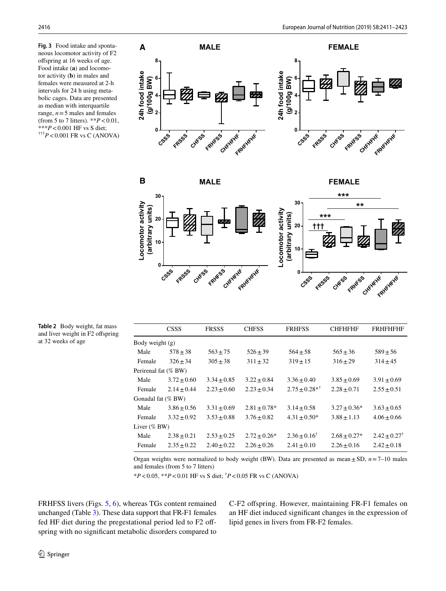<span id="page-5-0"></span>**Fig. 3** Food intake and spontaneous locomotor activity of F2 offspring at 16 weeks of age. Food intake (**a**) and locomotor activity (**b**) in males and females were measured at 2-h intervals for 24 h using metabolic cages. Data are presented as median with interquartile range,  $n=5$  males and females (from 5 to 7 litters). \*\**P*<0.01, \*\*\**P*<0.001 HF vs S diet; †††*P*<0.001 FR vs C (ANOVA)





**B**

**MALE FEMALE**



<span id="page-5-1"></span>**Table 2** Body weight, fat mass and liver weight in F2 offspring at 32 weeks of age

|                      | CSSS            | FRSSS           | <b>CHFSS</b>      | <b>FRHFSS</b>                  | <b>CHFHFHF</b>   | FRHFHFHF                |
|----------------------|-----------------|-----------------|-------------------|--------------------------------|------------------|-------------------------|
| Body weight (g)      |                 |                 |                   |                                |                  |                         |
| Male                 | $578 \pm 38$    | $563 + 75$      | $526 + 39$        | $564 + 58$                     | $565 + 36$       | $589 + 56$              |
| Female               | $326 \pm 34$    | $305 \pm 38$    | $311 \pm 32$      | $319 \pm 15$                   | $316 \pm 29$     | $314 \pm 45$            |
| Perirenal fat (% BW) |                 |                 |                   |                                |                  |                         |
| Male                 | $3.72 \pm 0.60$ | $3.34 \pm 0.85$ | $3.22 \pm 0.84$   | $3.36 \pm 0.40$                | $3.85 \pm 0.69$  | $3.91 \pm 0.69$         |
| Female               | $2.14 \pm 0.44$ | $2.23 \pm 0.60$ | $2.23 \pm 0.34$   | $2.75 \pm 0.28$ * <sup>†</sup> | $2.28 \pm 0.71$  | $2.55 \pm 0.51$         |
| Gonadal fat (% BW)   |                 |                 |                   |                                |                  |                         |
| Male                 | $3.86 \pm 0.56$ | $3.31 \pm 0.69$ | $2.81 \pm 0.78^*$ | $3.14 \pm 0.58$                | $3.27 \pm 0.36*$ | $3.63 \pm 0.65$         |
| Female               | $3.32 \pm 0.92$ | $3.53 + 0.88$   | $3.76 \pm 0.82$   | $4.31 + 0.50*$                 | $3.88 \pm 1.13$  | $4.06 + 0.66$           |
| Liver (% BW)         |                 |                 |                   |                                |                  |                         |
| Male                 | $2.38 \pm 0.21$ | $2.53 \pm 0.25$ | $2.72 \pm 0.26^*$ | $2.36 \pm 0.16^{\dagger}$      | $2.68 \pm 0.27*$ | $2.42 + 0.27^{\dagger}$ |
| Female               | $2.35 \pm 0.22$ | $2.40 + 0.22$   | $2.26 + 0.26$     | $2.41 \pm 0.10$                | $2.26 \pm 0.16$  | $2.42 \pm 0.18$         |

Organ weights were normalized to body weight (BW). Data are presented as mean $\pm$ SD,  $n=7$ –10 males and females (from 5 to 7 litters)

\**P*<0.05, \*\**P*<0.01 HF vs S diet; † *P*<0.05 FR vs C (ANOVA)

FRHFSS livers (Figs. [5](#page-8-0), [6\)](#page-9-0), whereas TGs content remained unchanged (Table [3\)](#page-7-0). These data support that FR-F1 females fed HF diet during the pregestational period led to F2 offspring with no significant metabolic disorders compared to C-F2 offspring. However, maintaining FR-F1 females on an HF diet induced significant changes in the expression of lipid genes in livers from FR-F2 females.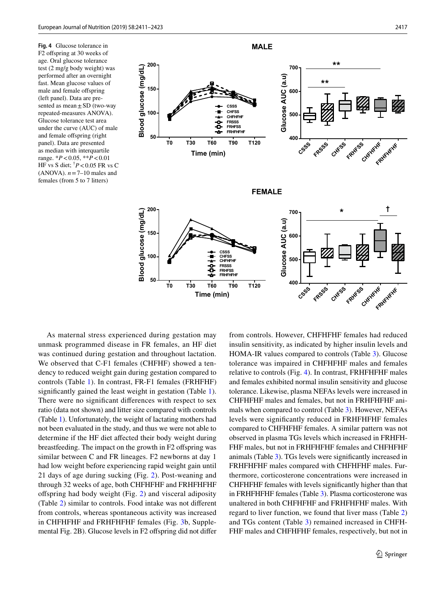<span id="page-6-0"></span>**Fig. 4** Glucose tolerance in F2 offspring at 30 weeks of age. Oral glucose tolerance test (2 mg/g body weight) was performed after an overnight fast. Mean glucose values of male and female offspring (left panel). Data are presented as mean  $\pm$  SD (two-way repeated-measures ANOVA). Glucose tolerance test area under the curve (AUC) of male and female offspring (right panel). Data are presented as median with interquartile range. \**P*<0.05, \*\**P*<0.01 HF vs S diet; † *P*<0.05 FR vs C (ANOVA).  $n = 7-10$  males and females (from 5 to 7 litters)





**Time (min)**

As maternal stress experienced during gestation may unmask programmed disease in FR females, an HF diet was continued during gestation and throughout lactation. We observed that C-F1 females (CHFHF) showed a tendency to reduced weight gain during gestation compared to controls (Table [1\)](#page-3-0). In contrast, FR-F1 females (FRHFHF) significantly gained the least weight in gestation (Table [1](#page-3-0)). There were no significant differences with respect to sex ratio (data not shown) and litter size compared with controls (Table [1\)](#page-3-0). Unfortunately, the weight of lactating mothers had not been evaluated in the study, and thus we were not able to determine if the HF diet affected their body weight during breastfeeding. The impact on the growth in F2 offspring was similar between C and FR lineages. F2 newborns at day 1 had low weight before experiencing rapid weight gain until 21 days of age during sucking (Fig. [2\)](#page-4-0). Post-weaning and through 32 weeks of age, both CHFHFHF and FRHFHFHF offspring had body weight (Fig. [2\)](#page-4-0) and visceral adiposity (Table [2\)](#page-5-1) similar to controls. Food intake was not different from controls, whereas spontaneous activity was increased in CHFHFHF and FRHFHFHF females (Fig. [3](#page-5-0)b, Supplemental Fig. 2B). Glucose levels in F2 offspring did not differ from controls. However, CHFHFHF females had reduced insulin sensitivity, as indicated by higher insulin levels and HOMA-IR values compared to controls (Table [3\)](#page-7-0). Glucose tolerance was impaired in CHFHFHF males and females relative to controls (Fig. [4\)](#page-6-0). In contrast, FRHFHFHF males and females exhibited normal insulin sensitivity and glucose tolerance. Likewise, plasma NEFAs levels were increased in CHFHFHF males and females, but not in FRHFHFHF animals when compared to control (Table [3](#page-7-0)). However, NEFAs levels were significantly reduced in FRHFHFHF females compared to CHFHFHF females. A similar pattern was not observed in plasma TGs levels which increased in FRHFH-FHF males, but not in FRHFHFHF females and CHFHFHF animals (Table [3](#page-7-0)). TGs levels were significantly increased in FRHFHFHF males compared with CHFHFHF males. Furthermore, corticosterone concentrations were increased in CHFHFHF females with levels significantly higher than that in FRHFHFHF females (Table [3\)](#page-7-0). Plasma corticosterone was unaltered in both CHFHFHF and FRHFHFHF males. With regard to liver function, we found that liver mass (Table [2\)](#page-5-1) and TGs content (Table [3\)](#page-7-0) remained increased in CHFH-FHF males and CHFHFHF females, respectively, but not in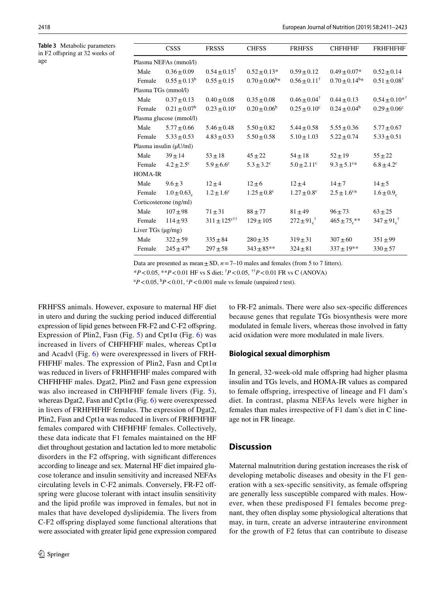<span id="page-7-0"></span>**Table 3** Metabolic parameters in F2 offspring at 32 weeks of age

|                   | <b>CSSS</b>                 | <b>FRSSS</b>                 | <b>CHFSS</b>                | <b>FRHFSS</b>               | <b>CHFHFHF</b>               | <b>FRHFHFHF</b>                        |
|-------------------|-----------------------------|------------------------------|-----------------------------|-----------------------------|------------------------------|----------------------------------------|
|                   | Plasma NEFAs (mmol/l)       |                              |                             |                             |                              |                                        |
| Male              | $0.36 \pm 0.09$             | $0.54 \pm 0.15^{\dagger}$    | $0.52 \pm 0.13*$            | $0.59 \pm 0.12$             | $0.49 \pm 0.07*$             | $0.52 \pm 0.14$                        |
| Female            | $0.55 \pm 0.13^b$           | $0.55 \pm 0.15$              | $0.70 \pm 0.06^{\rm b*}$    | $0.56 \pm 0.11^{\dagger}$   | $0.70 \pm 0.14^{\rm b*}$     | $0.51 \pm 0.08^{\dagger}$              |
|                   | Plasma TGs (mmol/l)         |                              |                             |                             |                              |                                        |
| Male              | $0.37 \pm 0.13$             | $0.40 \pm 0.08$              | $0.35 \pm 0.08$             | $0.46 \pm 0.04^{\dagger}$   | $0.44 \pm 0.13$              | $0.54 \pm 0.10^{*}$                    |
| Female            | $0.21 \pm 0.07^b$           | $0.23 \pm 0.10^c$            | $0.20 \pm 0.06^b$           | $0.25 \pm 0.10^c$           | $0.24 \pm 0.04^b$            | $0.29 \pm 0.06^c$                      |
|                   | Plasma glucose (mmol/l)     |                              |                             |                             |                              |                                        |
| Male              | $5.77 \pm 0.66$             | $5.46 \pm 0.48$              | $5.50 \pm 0.82$             | $5.44 \pm 0.58$             | $5.55 \pm 0.36$              | $5.77 \pm 0.67$                        |
| Female            | $5.33 \pm 0.53$             | $4.83 \pm 0.53$              | $5.50 \pm 0.58$             | $5.10 \pm 1.03$             | $5.22 \pm 0.74$              | $5.33 \pm 0.51$                        |
|                   | Plasma insulin $(\mu U/ml)$ |                              |                             |                             |                              |                                        |
| Male              | $39 + 14$                   | $53 + 18$                    | $45 + 22$                   | $54 + 18$                   | $52 \pm 19$                  | $55 + 22$                              |
| Female            | $4.2 \pm 2.5^{\circ}$       | $5.9 \pm 6.6^{\circ}$        | $5.3 \pm 3.2^{\circ}$       | $5.0 \pm 2.11$ <sup>c</sup> | $9.3 \pm 5.1$ <sup>c*</sup>  | $6.8 \pm 4.2$ <sup>c</sup>             |
| <b>HOMA-IR</b>    |                             |                              |                             |                             |                              |                                        |
| Male              | $9.6 \pm 3$                 | $12 \pm 4$                   | $12 \pm 6$                  | $12 \pm 4$                  | $14 \pm 7$                   | $14 \pm 5$                             |
| Female            | $1.0 \pm 0.63_c$            | $1.2 \pm 1.6^c$              | $1.25 \pm 0.8$ <sup>c</sup> | $1.27 \pm 0.8$ <sup>c</sup> | $2.5 \pm 1.6$ <sup>c*</sup>  | $1.6 \pm 0.9_c$                        |
|                   | Corticosterone (ng/ml)      |                              |                             |                             |                              |                                        |
| Male              | $107 + 98$                  | $71 \pm 31$                  | $88 + 77$                   | $81 + 49$                   | $96 + 73$                    | $63 + 25$                              |
| Female            | $114 \pm 93$                | $311 \pm 125$ <sup>c††</sup> | $129 \pm 105$               | $272 \pm 91_c^+$            | $465 \pm 75$ <sub>c</sub> ** | $347 \pm 91$ <sub>c</sub> <sup>†</sup> |
| Liver TGs (µg/mg) |                             |                              |                             |                             |                              |                                        |
| Male              | $322 \pm 59$                | $335 \pm 84$                 | $280 \pm 35$                | $319 \pm 31$                | $307 \pm 60$                 | $351 \pm 99$                           |
| Female            | $245 \pm 47^{\rm b}$        | $297 + 58$                   | $343 \pm 85$ **             | $324 \pm 81$                | $337 \pm 19**$               | $330 + 57$                             |

Data are presented as mean  $\pm$  SD,  $n=7-10$  males and females (from 5 to 7 litters).

\**P*<0.05, \*\**P*<0.01 HF vs S diet; † *P*<0.05, ††*P*<0.01 FR vs C (ANOVA)

 ${}^{a}P$ <0.05,  ${}^{b}P$ <0.01,  ${}^{c}P$ <0.001 male vs female (unpaired *t* test).

FRHFSS animals. However, exposure to maternal HF diet in utero and during the sucking period induced differential expression of lipid genes between FR-F2 and C-F2 offspring. Expression of Plin2, Fasn (Fig. [5\)](#page-8-0) and Cpt1 $\alpha$  (Fig. [6](#page-9-0)) was increased in livers of CHFHFHF males, whereas Cpt1α and Acadvl (Fig. [6](#page-9-0)) were overexpressed in livers of FRH-FHFHF males. The expression of Plin2, Fasn and Cpt1 $\alpha$ was reduced in livers of FRHFHFHF males compared with CHFHFHF males. Dgat2, Plin2 and Fasn gene expression was also increased in CHFHFHF female livers (Fig. [5](#page-8-0)), whereas Dgat2, Fasn and Cpt1 $\alpha$  (Fig. [6\)](#page-9-0) were overexpressed in livers of FRHFHFHF females. The expression of Dgat2, Plin2, Fasn and Cpt1 $\alpha$  was reduced in livers of FRHFHFHF females compared with CHFHFHF females. Collectively, these data indicate that F1 females maintained on the HF diet throughout gestation and lactation led to more metabolic disorders in the F2 offspring, with significant differences according to lineage and sex. Maternal HF diet impaired glucose tolerance and insulin sensitivity and increased NEFAs circulating levels in C-F2 animals. Conversely, FR-F2 offspring were glucose tolerant with intact insulin sensitivity and the lipid profile was improved in females, but not in males that have developed dyslipidemia. The livers from C-F2 offspring displayed some functional alterations that were associated with greater lipid gene expression compared to FR-F2 animals. There were also sex-specific differences because genes that regulate TGs biosynthesis were more modulated in female livers, whereas those involved in fatty acid oxidation were more modulated in male livers.

#### **Biological sexual dimorphism**

In general, 32-week-old male offspring had higher plasma insulin and TGs levels, and HOMA-IR values as compared to female offspring, irrespective of lineage and F1 dam's diet. In contrast, plasma NEFAs levels were higher in females than males irrespective of F1 dam's diet in C lineage not in FR lineage.

#### **Discussion**

Maternal malnutrition during gestation increases the risk of developing metabolic diseases and obesity in the F1 generation with a sex-specific sensitivity, as female offspring are generally less susceptible compared with males. However, when these predisposed F1 females become pregnant, they often display some physiological alterations that may, in turn, create an adverse intrauterine environment for the growth of F2 fetus that can contribute to disease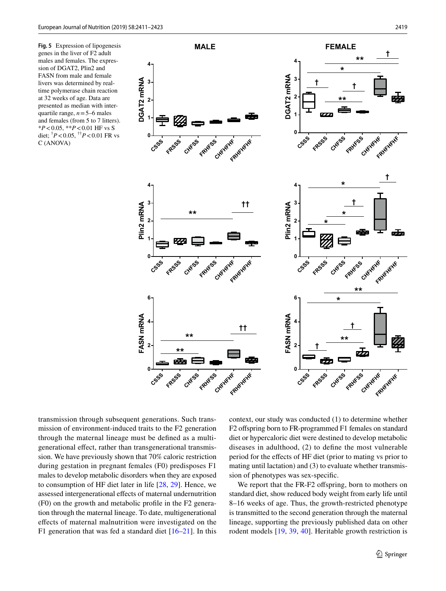<span id="page-8-0"></span>**Fig. 5** Expression of lipogenesis genes in the liver of F2 adult males and females. The expression of DGAT2, Plin2 and FASN from male and female livers was determined by realtime polymerase chain reaction at 32 weeks of age. Data are presented as median with interquartile range,  $n = 5-6$  males and females (from 5 to 7 litters). \**P*<0.05, \*\**P*<0.01 HF vs S diet; † *P*<0.05, ††*P*<0.01 FR vs C (ANOVA)



transmission through subsequent generations. Such transmission of environment-induced traits to the F2 generation through the maternal lineage must be defined as a multigenerational effect, rather than transgenerational transmission. We have previously shown that 70% caloric restriction during gestation in pregnant females (F0) predisposes F1 males to develop metabolic disorders when they are exposed to consumption of HF diet later in life [\[28](#page-12-1), [29\]](#page-12-10). Hence, we assessed intergenerational effects of maternal undernutrition (F0) on the growth and metabolic profile in the F2 generation through the maternal lineage. To date, multigenerational effects of maternal malnutrition were investigated on the F1 generation that was fed a standard diet [[16](#page-11-17)[–21](#page-11-10)]. In this context, our study was conducted (1) to determine whether F2 offspring born to FR-programmed F1 females on standard diet or hypercaloric diet were destined to develop metabolic diseases in adulthood, (2) to define the most vulnerable period for the effects of HF diet (prior to mating vs prior to mating until lactation) and (3) to evaluate whether transmission of phenotypes was sex-specific.

We report that the FR-F2 offspring, born to mothers on standard diet, show reduced body weight from early life until 8–16 weeks of age. Thus, the growth-restricted phenotype is transmitted to the second generation through the maternal lineage, supporting the previously published data on other rodent models [[19,](#page-11-18) [39](#page-12-11), [40\]](#page-12-12). Heritable growth restriction is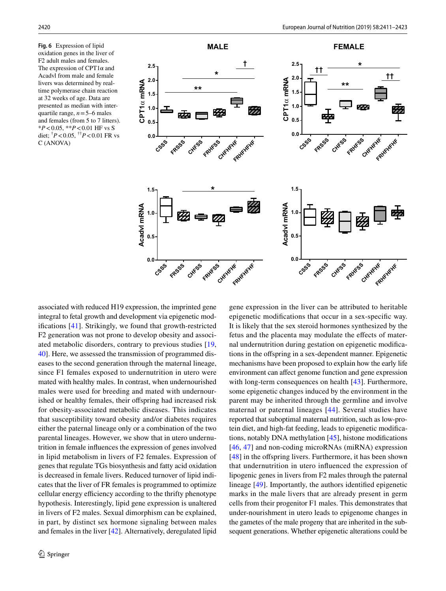<span id="page-9-0"></span>**Fig. 6** Expression of lipid oxidation genes in the liver of F2 adult males and females. The expression of CPT1 $\alpha$  and Acadvl from male and female livers was determined by realtime polymerase chain reaction at 32 weeks of age. Data are presented as median with interquartile range,  $n = 5-6$  males and females (from 5 to 7 litters). \**P*<0.05, \*\**P*<0.01 HF vs S diet; † *P*<0.05, ††*P*<0.01 FR vs C (ANOVA)



associated with reduced H19 expression, the imprinted gene integral to fetal growth and development via epigenetic modifications [[41](#page-12-13)]. Strikingly, we found that growth-restricted F2 generation was not prone to develop obesity and associated metabolic disorders, contrary to previous studies [\[19,](#page-11-18) [40](#page-12-12)]. Here, we assessed the transmission of programmed diseases to the second generation through the maternal lineage, since F1 females exposed to undernutrition in utero were mated with healthy males. In contrast, when undernourished males were used for breeding and mated with undernourished or healthy females, their offspring had increased risk for obesity-associated metabolic diseases. This indicates that susceptibility toward obesity and/or diabetes requires either the paternal lineage only or a combination of the two parental lineages. However, we show that in utero undernutrition in female influences the expression of genes involved in lipid metabolism in livers of F2 females. Expression of genes that regulate TGs biosynthesis and fatty acid oxidation is decreased in female livers. Reduced turnover of lipid indicates that the liver of FR females is programmed to optimize cellular energy efficiency according to the thrifty phenotype hypothesis. Interestingly, lipid gene expression is unaltered in livers of F2 males. Sexual dimorphism can be explained, in part, by distinct sex hormone signaling between males and females in the liver [\[42](#page-12-14)]. Alternatively, deregulated lipid gene expression in the liver can be attributed to heritable epigenetic modifications that occur in a sex-specific way. It is likely that the sex steroid hormones synthesized by the fetus and the placenta may modulate the effects of maternal undernutrition during gestation on epigenetic modifications in the offspring in a sex-dependent manner. Epigenetic mechanisms have been proposed to explain how the early life environment can affect genome function and gene expression with long-term consequences on health [[43](#page-12-15)]. Furthermore, some epigenetic changes induced by the environment in the parent may be inherited through the germline and involve maternal or paternal lineages [[44](#page-12-16)]. Several studies have reported that suboptimal maternal nutrition, such as low-protein diet, and high-fat feeding, leads to epigenetic modifications, notably DNA methylation [\[45](#page-12-17)], histone modifications [[46,](#page-12-18) [47](#page-12-19)] and non-coding microRNAs (miRNA) expression [[48\]](#page-12-20) in the offspring livers. Furthermore, it has been shown that undernutrition in utero influenced the expression of lipogenic genes in livers from F2 males through the paternal lineage [[49\]](#page-12-21). Importantly, the authors identified epigenetic marks in the male livers that are already present in germ cells from their progenitor F1 males. This demonstrates that under-nourishment in utero leads to epigenome changes in the gametes of the male progeny that are inherited in the subsequent generations. Whether epigenetic alterations could be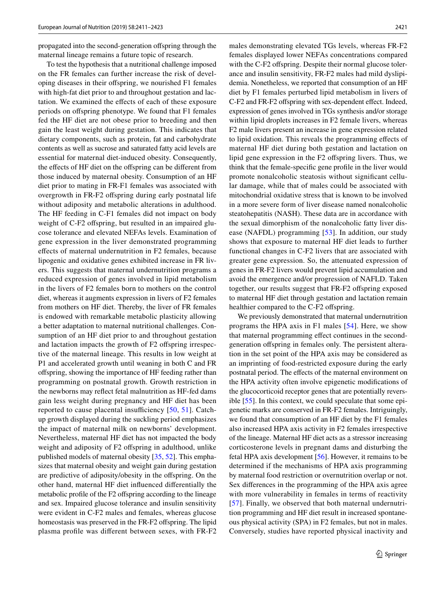propagated into the second-generation offspring through the maternal lineage remains a future topic of research.

To test the hypothesis that a nutritional challenge imposed on the FR females can further increase the risk of developing diseases in their offspring, we nourished F1 females with high-fat diet prior to and throughout gestation and lactation. We examined the effects of each of these exposure periods on offspring phenotype. We found that F1 females fed the HF diet are not obese prior to breeding and then gain the least weight during gestation. This indicates that dietary components, such as protein, fat and carbohydrate contents as well as sucrose and saturated fatty acid levels are essential for maternal diet-induced obesity. Consequently, the effects of HF diet on the offspring can be different from those induced by maternal obesity. Consumption of an HF diet prior to mating in FR-F1 females was associated with overgrowth in FR-F2 offspring during early postnatal life without adiposity and metabolic alterations in adulthood. The HF feeding in C-F1 females did not impact on body weight of C-F2 offspring, but resulted in an impaired glucose tolerance and elevated NEFAs levels. Examination of gene expression in the liver demonstrated programming effects of maternal undernutrition in F2 females, because lipogenic and oxidative genes exhibited increase in FR livers. This suggests that maternal undernutrition programs a reduced expression of genes involved in lipid metabolism in the livers of F2 females born to mothers on the control diet, whereas it augments expression in livers of F2 females from mothers on HF diet. Thereby, the liver of FR females is endowed with remarkable metabolic plasticity allowing a better adaptation to maternal nutritional challenges. Consumption of an HF diet prior to and throughout gestation and lactation impacts the growth of F2 offspring irrespective of the maternal lineage. This results in low weight at P1 and accelerated growth until weaning in both C and FR offspring, showing the importance of HF feeding rather than programming on postnatal growth. Growth restriction in the newborns may reflect fetal malnutrition as HF-fed dams gain less weight during pregnancy and HF diet has been reported to cause placental insufficiency [\[50,](#page-12-22) [51\]](#page-12-23). Catchup growth displayed during the suckling period emphasizes the impact of maternal milk on newborns' development. Nevertheless, maternal HF diet has not impacted the body weight and adiposity of F2 offspring in adulthood, unlike published models of maternal obesity [\[35](#page-12-6), [52\]](#page-12-24). This emphasizes that maternal obesity and weight gain during gestation are predictive of adiposity/obesity in the offspring. On the other hand, maternal HF diet influenced differentially the metabolic profile of the F2 offspring according to the lineage and sex. Impaired glucose tolerance and insulin sensitivity were evident in C-F2 males and females, whereas glucose homeostasis was preserved in the FR-F2 offspring. The lipid plasma profile was different between sexes, with FR-F2 males demonstrating elevated TGs levels, whereas FR-F2 females displayed lower NEFAs concentrations compared with the C-F2 offspring. Despite their normal glucose tolerance and insulin sensitivity, FR-F2 males had mild dyslipidemia. Nonetheless, we reported that consumption of an HF diet by F1 females perturbed lipid metabolism in livers of C-F2 and FR-F2 offspring with sex-dependent effect. Indeed, expression of genes involved in TGs synthesis and/or storage within lipid droplets increases in F2 female livers, whereas F2 male livers present an increase in gene expression related to lipid oxidation. This reveals the programming effects of maternal HF diet during both gestation and lactation on lipid gene expression in the F2 offspring livers. Thus, we think that the female-specific gene profile in the liver would promote nonalcoholic steatosis without significant cellular damage, while that of males could be associated with mitochondrial oxidative stress that is known to be involved in a more severe form of liver disease named nonalcoholic steatohepatitis (NASH). These data are in accordance with the sexual dimorphism of the nonalcoholic fatty liver disease (NAFDL) programming [[53](#page-12-25)]. In addition, our study shows that exposure to maternal HF diet leads to further functional changes in C-F2 livers that are associated with greater gene expression. So, the attenuated expression of genes in FR-F2 livers would prevent lipid accumulation and avoid the emergence and/or progression of NAFLD. Taken together, our results suggest that FR-F2 offspring exposed to maternal HF diet through gestation and lactation remain healthier compared to the C-F2 offspring.

We previously demonstrated that maternal undernutrition programs the HPA axis in F1 males  $[54]$  $[54]$  $[54]$ . Here, we show that maternal programming effect continues in the secondgeneration offspring in females only. The persistent alteration in the set point of the HPA axis may be considered as an imprinting of food-restricted exposure during the early postnatal period. The effects of the maternal environment on the HPA activity often involve epigenetic modifications of the glucocorticoid receptor genes that are potentially reversible [\[55](#page-12-27)]. In this context, we could speculate that some epigenetic marks are conserved in FR-F2 females. Intriguingly, we found that consumption of an HF diet by the F1 females also increased HPA axis activity in F2 females irrespective of the lineage. Maternal HF diet acts as a stressor increasing corticosterone levels in pregnant dams and disturbing the fetal HPA axis development [[56\]](#page-12-28). However, it remains to be determined if the mechanisms of HPA axis programming by maternal food restriction or overnutrition overlap or not. Sex differences in the programming of the HPA axis agree with more vulnerability in females in terms of reactivity [[57\]](#page-12-29). Finally, we observed that both maternal undernutrition programming and HF diet result in increased spontaneous physical activity (SPA) in F2 females, but not in males. Conversely, studies have reported physical inactivity and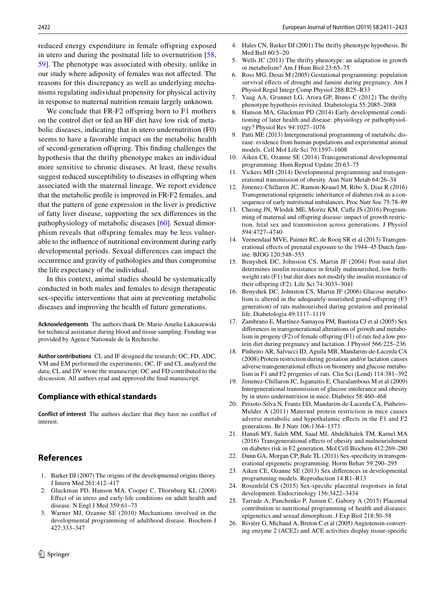reduced energy expenditure in female offspring exposed in utero and during the postnatal life to overnutrition [\[58,](#page-12-30) [59](#page-12-31)]. The phenotype was associated with obesity, unlike in our study where adiposity of females was not affected. The reasons for this discrepancy as well as underlying mechanisms regulating individual propensity for physical activity in response to maternal nutrition remain largely unknown.

We conclude that FR-F2 offspring born to F1 mothers on the control diet or fed an HF diet have low risk of metabolic diseases, indicating that in utero undernutrition (F0) seems to have a favorable impact on the metabolic health of second-generation offspring. This finding challenges the hypothesis that the thrifty phenotype makes an individual more sensitive to chronic diseases. At least, these results suggest reduced susceptibility to diseases in offspring when associated with the maternal lineage. We report evidence that the metabolic profile is improved in FR-F2 females, and that the pattern of gene expression in the liver is predictive of fatty liver disease, supporting the sex differences in the pathophysiology of metabolic diseases [\[60\]](#page-12-32). Sexual dimorphism reveals that offspring females may be less vulnerable to the influence of nutritional environment during early developmental periods. Sexual differences can impact the occurrence and gravity of pathologies and thus compromise the life expectancy of the individual.

In this context, animal studies should be systematically conducted in both males and females to design therapeutic sex-specific interventions that aim at preventing metabolic diseases and improving the health of future generations.

**Acknowledgements** The authors thank Dr. Marie-Amelie Lukaszewski for technical assistance during blood and tissue sampling. Funding was provided by Agence Nationale de la Recherche.

**Author contributions** CL and IF designed the research; OC, FD, ADC, VM and EM performed the experiments; OC, IF and CL analyzed the data; CL and DV wrote the manuscript; OC and FD contributed to the discussion. All authors read and approved the final manuscript.

#### **Compliance with ethical standards**

**Conflict of interest** The authors declare that they have no conflict of interest.

## **References**

- <span id="page-11-0"></span>1. Barker DJ (2007) The origins of the developmental origins theory. J Intern Med 261:412–417
- 2. Gluckman PD, Hanson MA, Cooper C, Thornburg KL (2008) Effect of in utero and early-life conditions on adult health and disease. N Engl J Med 359:61–73
- <span id="page-11-1"></span>3. Warner MJ, Ozanne SE (2010) Mechanisms involved in the developmental programming of adulthood disease. Biochem J 427:333–347
- <span id="page-11-2"></span>4. Hales CN, Barker DJ (2001) The thrifty phenotype hypothesis. Br Med Bull 60:5–20
- <span id="page-11-3"></span>5. Wells JC (2011) The thrifty phenotype: an adaptation in growth or metabolism? Am J Hum Biol 23:65–75
- <span id="page-11-4"></span>6. Ross MG, Desai M (2005) Gestational programming: population survival effects of drought and famine during pregnancy. Am J Physiol Regul Integr Comp Physiol 288:R25–R33
- 7. Vaag AA, Grunnet LG, Arora GP, Brøns C (2012) The thrifty phenotype hypothesis revisited. Diabetologia 55:2085–2088
- <span id="page-11-5"></span>8. Hanson MA, Gluckman PD (2014) Early developmental conditioning of later health and disease: physiology or pathophysiology? Physiol Rev 94:1027–1076
- <span id="page-11-6"></span>9. Patti ME (2013) Intergenerational programming of metabolic disease: evidence from human populations and experimental animal models. Cell Mol Life Sci 70:1597–1608
- 10. Aiken CE, Ozanne SE (2014) Transgenerational developmental programming. Hum Reprod Update 20:63–75
- 11. Vickers MH (2014) Developmental programming and transgenerational transmission of obesity. Ann Nutr Metab 64:26–34
- 12. Jimenez-Chillaron JC, Ramon-Krauel M, Ribo S, Diaz R (2016) Transgenerational epigenetic inheritance of diabetes risk as a consequence of early nutritional imbalances. Proc Nutr Soc 75:78–89
- <span id="page-11-7"></span>13. Cheong JN, Wlodek ME, Moritz KM, Cuffe JS (2016) Programming of maternal and offspring disease: impact of growth restriction, fetal sex and transmission across generations. J Physiol 594:4727–4740
- <span id="page-11-8"></span>14. Veenendaal MVE, Painter RC, de Rooij SR et al (2013) Transgenerational effects of prenatal exposure to the 1944–45 Dutch famine. BJOG 120:548–553
- <span id="page-11-9"></span>15. Benyshek DC, Johnston CS, Martin JF (2004) Post-natal diet determines insulin resistance in fetally malnourished, low birthweight rats (F1) but diet does not modify the insulin resistance of their offspring (F2). Life Sci 74:3033–3041
- <span id="page-11-17"></span>16. Benyshek DC, Johnston CS, Martin JF (2006) Glucose metabolism is altered in the adequately-nourished grand-offspring (F3 generation) of rats malnourished during gestation and perinatal life. Diabetologia 49:1117–1119
- <span id="page-11-11"></span>17. Zambrano E, Martínez-Samayoa PM, Bautista CJ et al (2005) Sex differences in transgenerational alterations of growth and metabolism in progeny (F2) of female offspring (F1) of rats fed a low protein diet during pregnancy and lactation. J Physiol 566:225–236
- 18. Pinheiro AR, Salvucci ID, Aguila MB, Mandarim-de-Lacerda CA (2008) Protein restriction during gestation and/or lactation causes adverse transgenerational effects on biometry and glucose metabolism in F1 and F2 progenies of rats. Clin Sci (Lond) 114:381–392
- <span id="page-11-18"></span>19. Jimenez-Chillaron JC, Isganaitis E, Charalambous M et al (2009) Intergenerational transmission of glucose intolerance and obesity by in utero undernutrition in mice. Diabetes 58:460–468
- 20. Peixoto-Silva N, Frantz ED, Mandarim-de-Lacerda CA, Pinheiro-Mulder A (2011) Maternal protein restriction in mice causes adverse metabolic and hypothalamic effects in the F1 and F2 generations. Br J Nutr 106:1364–1373
- <span id="page-11-10"></span>21. Hanafi MY, Saleh MM, Saad MI, Abdelkhalek TM, Kamel MA (2016) Transgenerational effects of obesity and malnourishment on diabetes risk in F2 generation. Mol Cell Biochem 412:269–280
- <span id="page-11-12"></span>22. Dunn GA, Morgan CP, Bale TL (2011) Sex-specificity in transgenerational epigenetic programming. Horm Behav 59:290–295
- <span id="page-11-13"></span>23. Aiken CE, Ozanne SE (2013) Sex differences in developmental programming models. Reproduction 14:R1–R13
- <span id="page-11-14"></span>24. Rosenfeld CS (2015) Sex-specific placental responses in fetal development. Endocrinology 156:3422–3434
- <span id="page-11-15"></span>25. Tarrade A, Panchenko P, Junien C, Gabory A (2015) Placental contribution to nutritional programming of health and diseases: epigenetics and sexual dimorphism. J Exp Biol 218:50–58
- <span id="page-11-16"></span>26. Rivière G, Michaud A, Breton C et al (2005) Angiotensin-converting enzyme 2 (ACE2) and ACE activities display tissue-specific